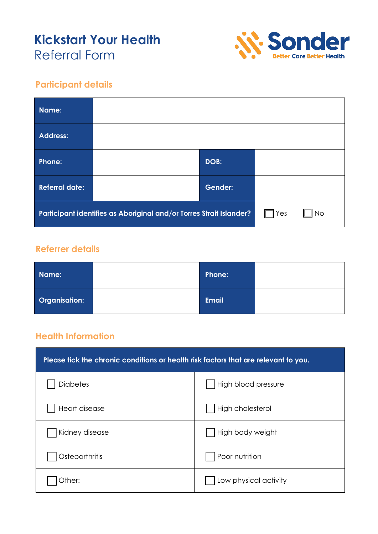# **Kickstart Your Health** Referral Form



#### **Participant details**

| Name:                                                               |  |                |           |  |
|---------------------------------------------------------------------|--|----------------|-----------|--|
| <b>Address:</b>                                                     |  |                |           |  |
| <b>Phone:</b>                                                       |  | DOB:           |           |  |
| <b>Referral date:</b>                                               |  | <b>Gender:</b> |           |  |
| Participant identifies as Aboriginal and/or Torres Strait Islander? |  | Yes            | <b>No</b> |  |

#### **Referrer details**

| Name:                | Phone:       |  |
|----------------------|--------------|--|
| <b>Organisation:</b> | <b>Email</b> |  |

#### **Health Information**

| Please tick the chronic conditions or health risk factors that are relevant to you. |                       |  |
|-------------------------------------------------------------------------------------|-----------------------|--|
| <b>Diabetes</b>                                                                     | High blood pressure   |  |
| Heart disease                                                                       | High cholesterol      |  |
| Kidney disease                                                                      | High body weight      |  |
| Osteoarthritis                                                                      | Poor nutrition        |  |
| Other:                                                                              | Low physical activity |  |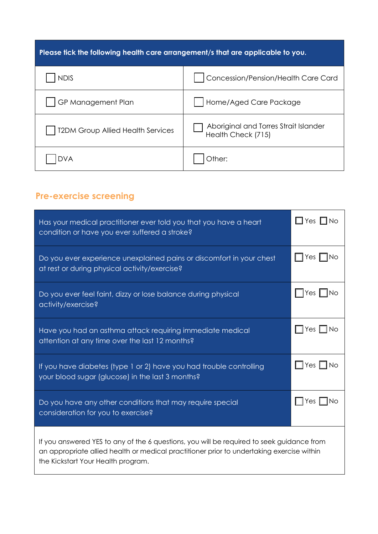| Please tick the following health care arrangement/s that are applicable to you. |                                                             |  |
|---------------------------------------------------------------------------------|-------------------------------------------------------------|--|
| <b>NDIS</b>                                                                     | Concession/Pension/Health Care Card                         |  |
| GP Management Plan                                                              | Home/Aged Care Package                                      |  |
| <b>T2DM Group Allied Health Services</b>                                        | Aboriginal and Torres Strait Islander<br>Health Check (715) |  |
|                                                                                 | Other:                                                      |  |

## **Pre-exercise screening**

| Has your medical practitioner ever told you that you have a heart<br>condition or have you ever suffered a stroke?                                                                                                           | $\Box$ Yes $\Box$ No     |  |
|------------------------------------------------------------------------------------------------------------------------------------------------------------------------------------------------------------------------------|--------------------------|--|
| Do you ever experience unexplained pains or discomfort in your chest<br>at rest or during physical activity/exercise?                                                                                                        | $\Box$ Yes $\Box$ No     |  |
| Do you ever feel faint, dizzy or lose balance during physical<br>activity/exercise?                                                                                                                                          | Yes  <br>– INo           |  |
| Have you had an asthma attack requiring immediate medical<br>attention at any time over the last 12 months?                                                                                                                  | Yes $\mathsf{I}$<br>1 No |  |
| If you have diabetes (type 1 or 2) have you had trouble controlling<br>your blood sugar (glucose) in the last 3 months?                                                                                                      | $\Box$ Yes $\Box$ No     |  |
| Do you have any other conditions that may require special<br>consideration for you to exercise?                                                                                                                              | $\exists$ Yes $\Box$ No  |  |
| If you answered YES to any of the 6 questions, you will be required to seek guidance from<br>an appropriate allied health or medical practitioner prior to undertaking exercise within<br>the Kickstart Your Health program. |                          |  |